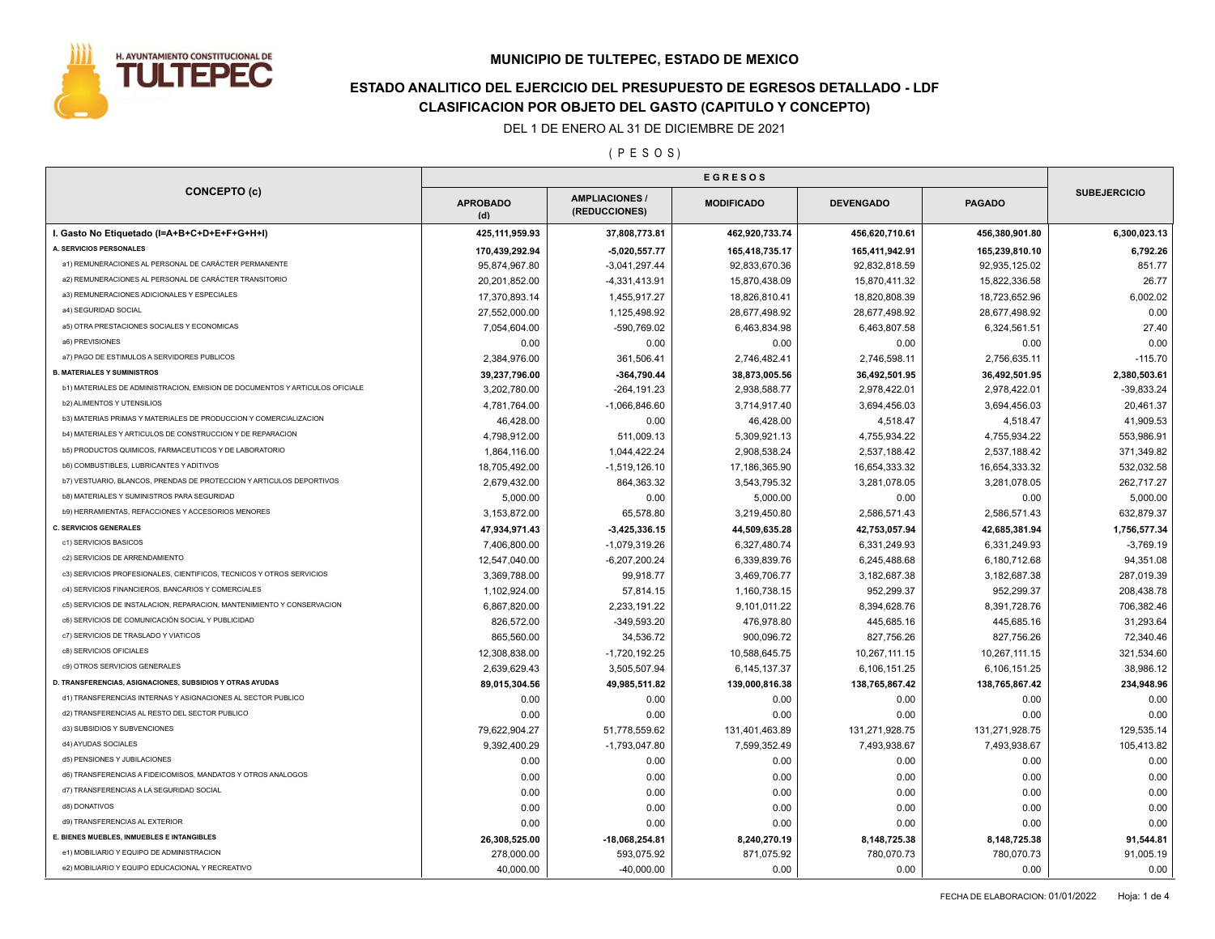

# **ESTADO ANALITICO DEL EJERCICIO DEL PRESUPUESTO DE EGRESOS DETALLADO - LDF CLASIFICACION POR OBJETO DEL GASTO (CAPITULO Y CONCEPTO)**

DEL 1 DE ENERO AL 31 DE DICIEMBRE DE 2021

( P E S O S )

| <b>CONCEPTO (c)</b>                                                          |                        |                                      |                   |                  |                |                     |
|------------------------------------------------------------------------------|------------------------|--------------------------------------|-------------------|------------------|----------------|---------------------|
|                                                                              | <b>APROBADO</b><br>(d) | <b>AMPLIACIONES</b><br>(REDUCCIONES) | <b>MODIFICADO</b> | <b>DEVENGADO</b> | <b>PAGADO</b>  | <b>SUBEJERCICIO</b> |
| I. Gasto No Etiquetado (I=A+B+C+D+E+F+G+H+I)                                 | 425,111,959.93         | 37,808,773.81                        | 462,920,733.74    | 456,620,710.61   | 456,380,901.80 | 6,300,023.13        |
| A. SERVICIOS PERSONALES                                                      | 170,439,292.94         | $-5,020,557.77$                      | 165,418,735.17    | 165,411,942.91   | 165,239,810.10 | 6,792.26            |
| a1) REMUNERACIONES AL PERSONAL DE CARÁCTER PERMANENTE                        | 95,874,967.80          | $-3,041,297.44$                      | 92,833,670.36     | 92,832,818.59    | 92,935,125.02  | 851.77              |
| a2) REMUNERACIONES AL PERSONAL DE CARÁCTER TRANSITORIO                       | 20,201,852.00          | $-4,331,413.91$                      | 15,870,438.09     | 15,870,411.32    | 15,822,336.58  | 26.77               |
| a3) REMUNERACIONES ADICIONALES Y ESPECIALES                                  | 17,370,893.14          | 1,455,917.27                         | 18,826,810.41     | 18,820,808.39    | 18,723,652.96  | 6,002.02            |
| a4) SEGURIDAD SOCIAL                                                         | 27,552,000.00          | 1,125,498.92                         | 28,677,498.92     | 28,677,498.92    | 28,677,498.92  | 0.00                |
| a5) OTRA PRESTACIONES SOCIALES Y ECONOMICAS                                  | 7,054,604.00           | -590,769.02                          | 6,463,834.98      | 6,463,807.58     | 6,324,561.51   | 27.40               |
| a6) PREVISIONES                                                              | 0.00                   | 0.00                                 | 0.00              | 0.00             | 0.00           | 0.00                |
| a7) PAGO DE ESTIMULOS A SERVIDORES PUBLICOS                                  | 2,384,976.00           | 361,506.41                           | 2,746,482.41      | 2,746,598.11     | 2,756,635.11   | $-115.70$           |
| <b>B. MATERIALES Y SUMINISTROS</b>                                           | 39,237,796.00          | -364,790.44                          | 38,873,005.56     | 36,492,501.95    | 36,492,501.95  | 2,380,503.61        |
| b1) MATERIALES DE ADMINISTRACION, EMISION DE DOCUMENTOS Y ARTICULOS OFICIALE | 3,202,780.00           | $-264, 191.23$                       | 2,938,588.77      | 2,978,422.01     | 2,978,422.01   | $-39,833.24$        |
| b2) ALIMENTOS Y UTENSILIOS                                                   | 4,781,764.00           | $-1,066,846.60$                      | 3,714,917.40      | 3,694,456.03     | 3,694,456.03   | 20,461.37           |
| b3) MATERIAS PRIMAS Y MATERIALES DE PRODUCCION Y COMERCIALIZACION            | 46,428.00              | 0.00                                 | 46,428.00         | 4,518.47         | 4,518.47       | 41,909.53           |
| b4) MATERIALES Y ARTICULOS DE CONSTRUCCION Y DE REPARACION                   | 4,798,912.00           | 511,009.13                           | 5,309,921.13      | 4,755,934.22     | 4,755,934.22   | 553,986.91          |
| b5) PRODUCTOS QUIMICOS, FARMACEUTICOS Y DE LABORATORIO                       | 1,864,116.00           | 1,044,422.24                         | 2,908,538.24      | 2,537,188.42     | 2,537,188.42   | 371,349.82          |
| <b>b6) COMBUSTIBLES, LUBRICANTES Y ADITIVOS</b>                              | 18,705,492.00          | $-1,519,126.10$                      | 17,186,365.90     | 16,654,333.32    | 16,654,333.32  | 532,032.58          |
| b7) VESTUARIO, BLANCOS, PRENDAS DE PROTECCION Y ARTICULOS DEPORTIVOS         | 2,679,432.00           | 864,363.32                           | 3,543,795.32      | 3,281,078.05     | 3,281,078.05   | 262,717.27          |
| <b>b8) MATERIALES Y SUMINISTROS PARA SEGURIDAD</b>                           | 5,000.00               | 0.00                                 | 5,000.00          | 0.00             | 0.00           | 5,000.00            |
| b9) HERRAMIENTAS, REFACCIONES Y ACCESORIOS MENORES                           | 3,153,872.00           | 65,578.80                            | 3,219,450.80      | 2,586,571.43     | 2,586,571.43   | 632,879.37          |
| <b>C. SERVICIOS GENERALES</b>                                                | 47,934,971.43          | $-3,425,336.15$                      | 44,509,635.28     | 42,753,057.94    | 42,685,381.94  | 1,756,577.34        |
| c1) SERVICIOS BASICOS                                                        | 7,406,800.00           | -1,079,319.26                        | 6,327,480.74      | 6,331,249.93     | 6,331,249.93   | $-3,769.19$         |
| c2) SERVICIOS DE ARRENDAMIENTO                                               | 12,547,040.00          | $-6,207,200.24$                      | 6,339,839.76      | 6,245,488.68     | 6,180,712.68   | 94,351.08           |
| c3) SERVICIOS PROFESIONALES, CIENTIFICOS, TECNICOS Y OTROS SERVICIOS         | 3,369,788.00           | 99,918.77                            | 3,469,706.77      | 3,182,687.38     | 3,182,687.38   | 287,019.39          |
| c4) SERVICIOS FINANCIEROS, BANCARIOS Y COMERCIALES                           | 1,102,924.00           | 57,814.15                            | 1,160,738.15      | 952,299.37       | 952,299.37     | 208,438.78          |
| c5) SERVICIOS DE INSTALACION, REPARACION, MANTENIMIENTO Y CONSERVACION       | 6,867,820.00           | 2,233,191.22                         | 9,101,011.22      | 8,394,628.76     | 8,391,728.76   | 706,382.46          |
| c6) SERVICIOS DE COMUNICACIÓN SOCIAL Y PUBLICIDAD                            | 826,572.00             | $-349,593.20$                        | 476,978.80        | 445,685.16       | 445,685.16     | 31,293.64           |
| c7) SERVICIOS DE TRASLADO Y VIATICOS                                         | 865,560.00             | 34,536.72                            | 900,096.72        | 827,756.26       | 827,756.26     | 72,340.46           |
| c8) SERVICIOS OFICIALES                                                      | 12,308,838.00          | $-1,720,192.25$                      | 10,588,645.75     | 10,267,111.15    | 10,267,111.15  | 321,534.60          |
| c9) OTROS SERVICIOS GENERALES                                                | 2,639,629.43           | 3,505,507.94                         | 6,145,137.37      | 6,106,151.25     | 6,106,151.25   | 38,986.12           |
| D. TRANSFERENCIAS, ASIGNACIONES, SUBSIDIOS Y OTRAS AYUDAS                    | 89,015,304.56          | 49,985,511.82                        | 139,000,816.38    | 138,765,867.42   | 138,765,867.42 | 234,948.96          |
| d1) TRANSFERENCIAS INTERNAS Y ASIGNACIONES AL SECTOR PUBLICO                 | 0.00                   | 0.00                                 | 0.00              | 0.00             | 0.00           | 0.00                |
| d2) TRANSFERENCIAS AL RESTO DEL SECTOR PUBLICO                               | 0.00                   | 0.00                                 | 0.00              | 0.00             | 0.00           | 0.00                |
| d3) SUBSIDIOS Y SUBVENCIONES                                                 | 79,622,904.27          | 51,778,559.62                        | 131,401,463.89    | 131,271,928.75   | 131,271,928.75 | 129,535.14          |
| d4) AYUDAS SOCIALES                                                          |                        |                                      |                   |                  |                |                     |
| d5) PENSIONES Y JUBILACIONES                                                 | 9,392,400.29           | $-1,793,047.80$                      | 7,599,352.49      | 7,493,938.67     | 7,493,938.67   | 105,413.82          |
| d6) TRANSFERENCIAS A FIDEICOMISOS, MANDATOS Y OTROS ANALOGOS                 | 0.00                   | 0.00                                 | 0.00              | 0.00             | 0.00           | 0.00                |
| d7) TRANSFERENCIAS A LA SEGURIDAD SOCIAL                                     | 0.00                   | 0.00                                 | 0.00              | 0.00             | 0.00           | 0.00                |
|                                                                              | 0.00                   | 0.00                                 | 0.00              | 0.00             | 0.00           | 0.00                |
| d8) DONATIVOS                                                                | 0.00                   | 0.00                                 | 0.00              | 0.00             | 0.00           | 0.00                |
| d9) TRANSFERENCIAS AL EXTERIOR                                               | 0.00                   | 0.00                                 | 0.00              | 0.00             | 0.00           | 0.00                |
| E. BIENES MUEBLES, INMUEBLES E INTANGIBLES                                   | 26,308,525.00          | $-18,068,254.81$                     | 8,240,270.19      | 8,148,725.38     | 8,148,725.38   | 91,544.81           |
| e1) MOBILIARIO Y EQUIPO DE ADMINISTRACION                                    | 278.000.00             | 593.075.92                           | 871,075.92        | 780,070.73       | 780,070.73     | 91,005.19           |
| e2) MOBILIARIO Y EQUIPO EDUCACIONAL Y RECREATIVO                             | 40,000.00              | $-40,000.00$                         | 0.00              | 0.00             | 0.00           | 0.00                |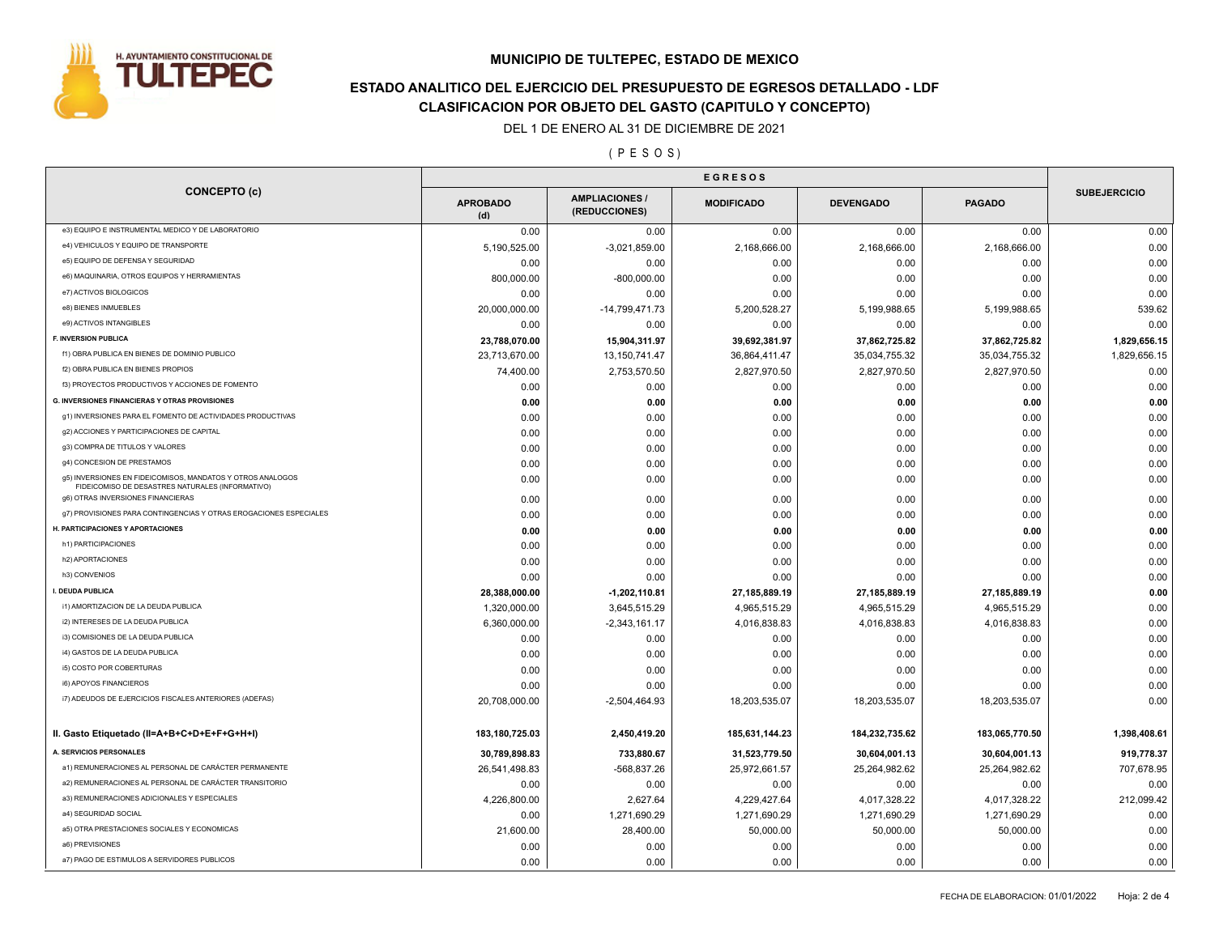

# **ESTADO ANALITICO DEL EJERCICIO DEL PRESUPUESTO DE EGRESOS DETALLADO - LDF CLASIFICACION POR OBJETO DEL GASTO (CAPITULO Y CONCEPTO)**

DEL 1 DE ENERO AL 31 DE DICIEMBRE DE 2021

( P E S O S )

| <b>CONCEPTO (c)</b>                                                                                            |                        |                                      |                   |                  |                |                     |
|----------------------------------------------------------------------------------------------------------------|------------------------|--------------------------------------|-------------------|------------------|----------------|---------------------|
|                                                                                                                | <b>APROBADO</b><br>(d) | <b>AMPLIACIONES</b><br>(REDUCCIONES) | <b>MODIFICADO</b> | <b>DEVENGADO</b> | <b>PAGADO</b>  | <b>SUBEJERCICIO</b> |
| e3) EQUIPO E INSTRUMENTAL MEDICO Y DE LABORATORIO                                                              | 0.00                   | 0.00                                 | 0.00              | 0.00             | 0.00           | 0.00                |
| e4) VEHICULOS Y EQUIPO DE TRANSPORTE                                                                           | 5,190,525.00           | $-3,021,859.00$                      | 2,168,666.00      | 2,168,666.00     | 2,168,666.00   | 0.00                |
| e5) EQUIPO DE DEFENSA Y SEGURIDAD                                                                              | 0.00                   | 0.00                                 | 0.00              | 0.00             | 0.00           | 0.00                |
| e6) MAQUINARIA, OTROS EQUIPOS Y HERRAMIENTAS                                                                   | 800,000.00             | $-800,000.00$                        | 0.00              | 0.00             | 0.00           | 0.00                |
| e7) ACTIVOS BIOLOGICOS                                                                                         | 0.00                   | 0.00                                 | 0.00              | 0.00             | 0.00           | 0.00                |
| e8) BIENES INMUEBLES                                                                                           | 20,000,000.00          | -14,799,471.73                       | 5,200,528.27      | 5,199,988.65     | 5,199,988.65   | 539.62              |
| e9) ACTIVOS INTANGIBLES                                                                                        | 0.00                   | 0.00                                 | 0.00              | 0.00             | 0.00           | 0.00                |
| F. INVERSION PUBLICA                                                                                           | 23,788,070.00          | 15,904,311.97                        | 39,692,381.97     | 37,862,725.82    | 37,862,725.82  | 1,829,656.15        |
| f1) OBRA PUBLICA EN BIENES DE DOMINIO PUBLICO                                                                  | 23,713,670.00          | 13,150,741.47                        | 36,864,411.47     | 35,034,755.32    | 35,034,755.32  | 1,829,656.15        |
| f2) OBRA PUBLICA EN BIENES PROPIOS                                                                             | 74,400.00              | 2,753,570.50                         | 2,827,970.50      | 2,827,970.50     | 2,827,970.50   | 0.00                |
| f3) PROYECTOS PRODUCTIVOS Y ACCIONES DE FOMENTO                                                                | 0.00                   | 0.00                                 | 0.00              | 0.00             | 0.00           | 0.00                |
| <b>G. INVERSIONES FINANCIERAS Y OTRAS PROVISIONES</b>                                                          | 0.00                   | 0.00                                 | 0.00              | 0.00             | 0.00           | 0.00                |
| g1) INVERSIONES PARA EL FOMENTO DE ACTIVIDADES PRODUCTIVAS                                                     | 0.00                   | 0.00                                 | 0.00              | 0.00             | 0.00           | 0.00                |
| g2) ACCIONES Y PARTICIPACIONES DE CAPITAL                                                                      | 0.00                   | 0.00                                 | 0.00              | 0.00             | 0.00           | 0.00                |
| g3) COMPRA DE TITULOS Y VALORES                                                                                | 0.00                   | 0.00                                 | 0.00              | 0.00             | 0.00           | 0.00                |
| g4) CONCESION DE PRESTAMOS                                                                                     | 0.00                   | 0.00                                 | 0.00              | 0.00             | 0.00           | 0.00                |
| g5) INVERSIONES EN FIDEICOMISOS, MANDATOS Y OTROS ANALOGOS<br>FIDEICOMISO DE DESASTRES NATURALES (INFORMATIVO) | 0.00                   | 0.00                                 | 0.00              | 0.00             | 0.00           | 0.00                |
| g6) OTRAS INVERSIONES FINANCIERAS                                                                              | 0.00                   | 0.00                                 | 0.00              | 0.00             | 0.00           | 0.00                |
| g7) PROVISIONES PARA CONTINGENCIAS Y OTRAS EROGACIONES ESPECIALES                                              | 0.00                   | 0.00                                 | 0.00              | 0.00             | 0.00           | 0.00                |
| H. PARTICIPACIONES Y APORTACIONES                                                                              | 0.00                   | 0.00                                 | 0.00              | 0.00             | 0.00           | 0.00                |
| h1) PARTICIPACIONES                                                                                            | 0.00                   | 0.00                                 | 0.00              | 0.00             | 0.00           | 0.00                |
| h2) APORTACIONES                                                                                               | 0.00                   | 0.00                                 | 0.00              | 0.00             | 0.00           | 0.00                |
| h3) CONVENIOS                                                                                                  | 0.00                   | 0.00                                 | 0.00              | 0.00             | 0.00           | 0.00                |
| I. DEUDA PUBLICA                                                                                               | 28,388,000.00          | $-1,202,110.81$                      | 27,185,889.19     | 27,185,889.19    | 27,185,889.19  | 0.00                |
| i1) AMORTIZACION DE LA DEUDA PUBLICA                                                                           | 1,320,000.00           | 3,645,515.29                         | 4,965,515.29      | 4,965,515.29     | 4,965,515.29   | 0.00                |
| i2) INTERESES DE LA DEUDA PUBLICA                                                                              | 6,360,000.00           | $-2,343,161.17$                      | 4,016,838.83      | 4,016,838.83     | 4,016,838.83   | 0.00                |
| i3) COMISIONES DE LA DEUDA PUBLICA                                                                             | 0.00                   | 0.00                                 | 0.00              | 0.00             | 0.00           | 0.00                |
| i4) GASTOS DE LA DEUDA PUBLICA                                                                                 | 0.00                   | 0.00                                 | 0.00              | 0.00             | 0.00           | 0.00                |
| i5) COSTO POR COBERTURAS                                                                                       | 0.00                   | 0.00                                 | 0.00              | 0.00             | 0.00           | 0.00                |
| i6) APOYOS FINANCIEROS                                                                                         | 0.00                   | 0.00                                 | 0.00              | 0.00             | 0.00           | 0.00                |
| i7) ADEUDOS DE EJERCICIOS FISCALES ANTERIORES (ADEFAS)                                                         | 20,708,000.00          | $-2,504,464.93$                      | 18,203,535.07     | 18,203,535.07    | 18,203,535.07  | 0.00                |
| II. Gasto Etiquetado (II=A+B+C+D+E+F+G+H+I)                                                                    | 183,180,725.03         | 2,450,419.20                         | 185,631,144.23    | 184,232,735.62   | 183,065,770.50 | 1,398,408.61        |
| A. SERVICIOS PERSONALES                                                                                        | 30,789,898.83          | 733,880.67                           | 31,523,779.50     | 30,604,001.13    | 30,604,001.13  | 919,778.37          |
| a1) REMUNERACIONES AL PERSONAL DE CARÁCTER PERMANENTE                                                          | 26,541,498.83          | -568,837.26                          | 25,972,661.57     | 25,264,982.62    | 25,264,982.62  | 707,678.95          |
| a2) REMUNERACIONES AL PERSONAL DE CARÁCTER TRANSITORIO                                                         | 0.00                   | 0.00                                 | 0.00              | 0.00             | 0.00           | 0.00                |
| a3) REMUNERACIONES ADICIONALES Y ESPECIALES                                                                    | 4,226,800.00           | 2.627.64                             | 4,229,427.64      | 4,017,328.22     | 4,017,328.22   | 212,099.42          |
| a4) SEGURIDAD SOCIAL                                                                                           | 0.00                   | 1,271,690.29                         | 1,271,690.29      | 1,271,690.29     | 1,271,690.29   | 0.00                |
| a5) OTRA PRESTACIONES SOCIALES Y ECONOMICAS                                                                    | 21,600.00              | 28,400.00                            | 50,000.00         | 50,000.00        | 50,000.00      | 0.00                |
| a6) PREVISIONES                                                                                                | 0.00                   | 0.00                                 | 0.00              | 0.00             | 0.00           | 0.00                |
| a7) PAGO DE ESTIMULOS A SERVIDORES PUBLICOS                                                                    | 0.00                   | 0.00                                 | 0.00              | 0.00             | 0.00           | 0.00                |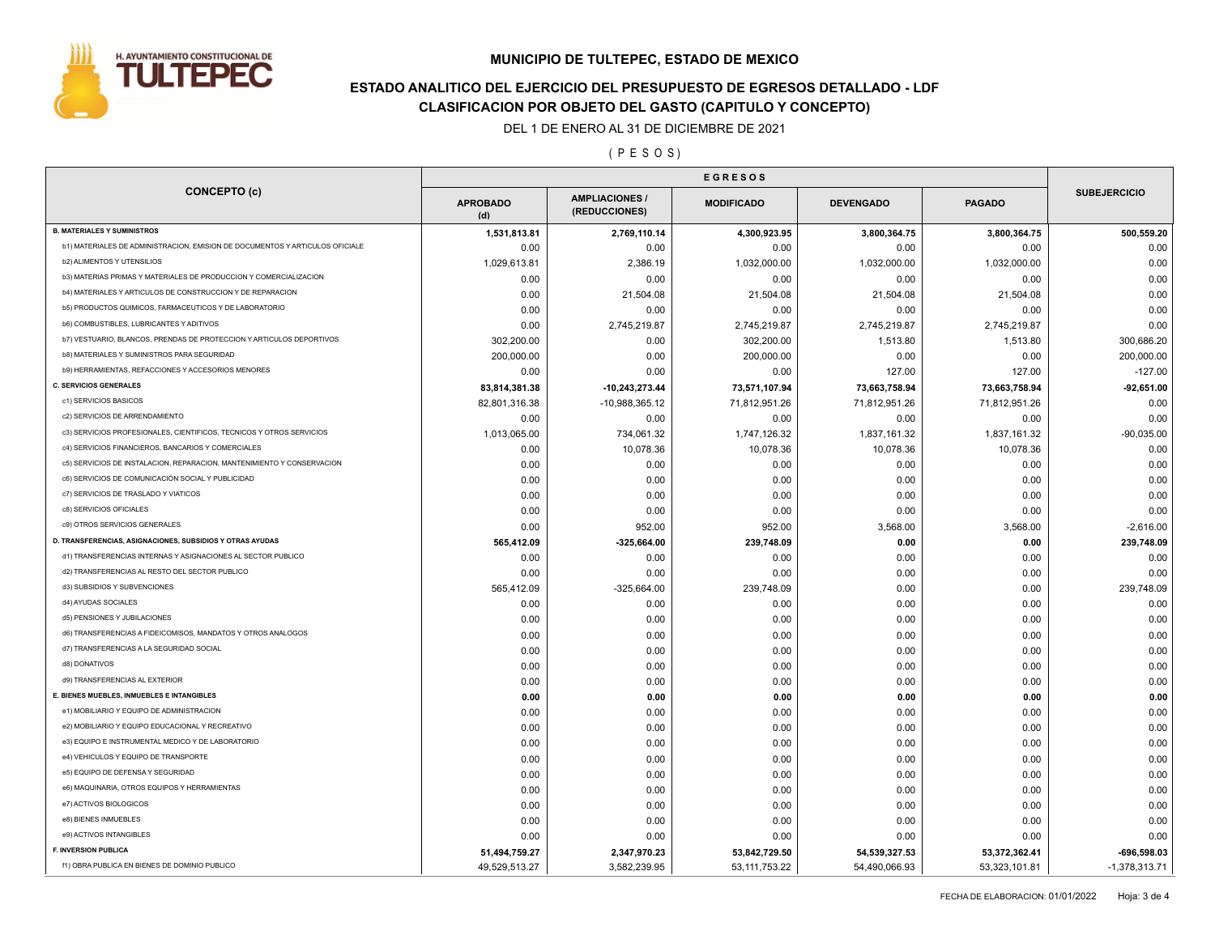

# **ESTADO ANALITICO DEL EJERCICIO DEL PRESUPUESTO DE EGRESOS DETALLADO - LDF CLASIFICACION POR OBJETO DEL GASTO (CAPITULO Y CONCEPTO)**

DEL 1 DE ENERO AL 31 DE DICIEMBRE DE 2021

( P E S O S )

| <b>CONCEPTO (c)</b>                                                                           |                        |                                        |                   |                  |               |                     |
|-----------------------------------------------------------------------------------------------|------------------------|----------------------------------------|-------------------|------------------|---------------|---------------------|
|                                                                                               | <b>APROBADO</b><br>(d) | <b>AMPLIACIONES /</b><br>(REDUCCIONES) | <b>MODIFICADO</b> | <b>DEVENGADO</b> | <b>PAGADO</b> | <b>SUBEJERCICIO</b> |
| <b>B. MATERIALES Y SUMINISTROS</b>                                                            | 1,531,813.81           | 2,769,110.14                           | 4,300,923.95      | 3,800,364.75     | 3,800,364.75  | 500,559.20          |
| b1) MATERIALES DE ADMINISTRACION, EMISION DE DOCUMENTOS Y ARTICULOS OFICIALE                  | 0.00                   | 0.00                                   | 0.00              | 0.00             | 0.00          | 0.00                |
| <b>b2) ALIMENTOS Y UTENSILIOS</b>                                                             | 1,029,613.81           | 2,386.19                               | 1,032,000.00      | 1,032,000.00     | 1,032,000.00  | 0.00                |
| b3) MATERIAS PRIMAS Y MATERIALES DE PRODUCCION Y COMERCIALIZACION                             | 0.00                   | 0.00                                   | 0.00              | 0.00             | 0.00          | 0.00                |
| b4) MATERIALES Y ARTICULOS DE CONSTRUCCION Y DE REPARACION                                    | 0.00                   | 21,504.08                              | 21,504.08         | 21,504.08        | 21,504.08     | 0.00                |
| b5) PRODUCTOS QUIMICOS, FARMACEUTICOS Y DE LABORATORIO                                        | 0.00                   | 0.00                                   | 0.00              | 0.00             | 0.00          | 0.00                |
| <b>b6) COMBUSTIBLES, LUBRICANTES Y ADITIVOS</b>                                               | 0.00                   | 2,745,219.87                           | 2,745,219.87      | 2,745,219.87     | 2,745,219.87  | 0.00                |
| b7) VESTUARIO, BLANCOS, PRENDAS DE PROTECCION Y ARTICULOS DEPORTIVOS                          | 302,200.00             | 0.00                                   | 302,200.00        | 1,513.80         | 1,513.80      | 300,686.20          |
| <b>b8) MATERIALES Y SUMINISTROS PARA SEGURIDAD</b>                                            | 200,000.00             | 0.00                                   | 200,000.00        | 0.00             | 0.00          | 200,000.00          |
| b9) HERRAMIENTAS, REFACCIONES Y ACCESORIOS MENORES                                            | 0.00                   | 0.00                                   | 0.00              | 127.00           | 127.00        | $-127.00$           |
| <b>C. SERVICIOS GENERALES</b>                                                                 | 83,814,381.38          | $-10,243,273.44$                       | 73,571,107.94     | 73,663,758.94    | 73,663,758.94 | $-92,651.00$        |
| c1) SERVICIOS BASICOS                                                                         | 82,801,316.38          | $-10,988,365.12$                       | 71,812,951.26     | 71,812,951.26    | 71,812,951.26 | 0.00                |
| c2) SERVICIOS DE ARRENDAMIENTO                                                                | 0.00                   | 0.00                                   | 0.00              | 0.00             | 0.00          | 0.00                |
| c3) SERVICIOS PROFESIONALES, CIENTIFICOS, TECNICOS Y OTROS SERVICIOS                          | 1,013,065.00           | 734,061.32                             | 1,747,126.32      | 1,837,161.32     | 1,837,161.32  | $-90,035.00$        |
| c4) SERVICIOS FINANCIEROS, BANCARIOS Y COMERCIALES                                            | 0.00                   | 10,078.36                              | 10,078.36         | 10,078.36        | 10,078.36     | 0.00                |
| c5) SERVICIOS DE INSTALACION, REPARACION, MANTENIMIENTO Y CONSERVACION                        | 0.00                   | 0.00                                   | 0.00              | 0.00             | 0.00          | 0.00                |
| c6) SERVICIOS DE COMUNICACIÓN SOCIAL Y PUBLICIDAD                                             | 0.00                   | 0.00                                   | 0.00              | 0.00             | 0.00          | 0.00                |
| c7) SERVICIOS DE TRASLADO Y VIATICOS                                                          | 0.00                   | 0.00                                   | 0.00              | 0.00             | 0.00          | 0.00                |
| c8) SERVICIOS OFICIALES                                                                       | 0.00                   | 0.00                                   | 0.00              | 0.00             | 0.00          | 0.00                |
| c9) OTROS SERVICIOS GENERALES                                                                 | 0.00                   | 952.00                                 | 952.00            | 3,568.00         | 3,568.00      | $-2,616.00$         |
| D. TRANSFERENCIAS, ASIGNACIONES, SUBSIDIOS Y OTRAS AYUDAS                                     | 565,412.09             | -325,664.00                            | 239,748.09        | 0.00             | 0.00          | 239,748.09          |
| d1) TRANSFERENCIAS INTERNAS Y ASIGNACIONES AL SECTOR PUBLICO                                  | 0.00                   | 0.00                                   | 0.00              | 0.00             | 0.00          | 0.00                |
| d2) TRANSFERENCIAS AL RESTO DEL SECTOR PUBLICO                                                | 0.00                   | 0.00                                   | 0.00              | 0.00             | 0.00          | 0.00                |
| d3) SUBSIDIOS Y SUBVENCIONES                                                                  | 565,412.09             | $-325,664.00$                          | 239,748.09        | 0.00             | 0.00          | 239,748.09          |
| d4) AYUDAS SOCIALES                                                                           |                        |                                        |                   |                  | 0.00          | 0.00                |
| d5) PENSIONES Y JUBILACIONES                                                                  | 0.00                   | 0.00                                   | 0.00              | 0.00             |               |                     |
| d6) TRANSFERENCIAS A FIDEICOMISOS, MANDATOS Y OTROS ANALOGOS                                  | 0.00                   | 0.00                                   | 0.00              | 0.00             | 0.00          | 0.00                |
| d7) TRANSFERENCIAS A LA SEGURIDAD SOCIAL                                                      | 0.00                   | 0.00                                   | 0.00              | 0.00             | 0.00          | 0.00                |
| d8) DONATIVOS                                                                                 | 0.00                   | 0.00                                   | 0.00              | 0.00             | 0.00          | 0.00                |
| d9) TRANSFERENCIAS AL EXTERIOR                                                                | 0.00                   | 0.00                                   | 0.00              | 0.00             | 0.00          | 0.00                |
|                                                                                               | 0.00                   | 0.00                                   | 0.00              | 0.00             | 0.00          | 0.00                |
| E. BIENES MUEBLES, INMUEBLES E INTANGIBLES                                                    | 0.00                   | 0.00                                   | 0.00              | 0.00             | 0.00          | 0.00                |
| e1) MOBILIARIO Y EQUIPO DE ADMINISTRACION<br>e2) MOBILIARIO Y EQUIPO EDUCACIONAL Y RECREATIVO | 0.00                   | 0.00                                   | 0.00              | 0.00             | 0.00          | 0.00                |
|                                                                                               | 0.00                   | 0.00                                   | 0.00              | 0.00             | 0.00          | 0.00                |
| e3) EQUIPO E INSTRUMENTAL MEDICO Y DE LABORATORIO                                             | 0.00                   | 0.00                                   | 0.00              | 0.00             | 0.00          | 0.00                |
| e4) VEHICULOS Y EQUIPO DE TRANSPORTE                                                          | 0.00                   | 0.00                                   | 0.00              | 0.00             | 0.00          | 0.00                |
| e5) EQUIPO DE DEFENSA Y SEGURIDAD                                                             | 0.00                   | 0.00                                   | 0.00              | 0.00             | 0.00          | 0.00                |
| e6) MAQUINARIA, OTROS EQUIPOS Y HERRAMIENTAS                                                  | 0.00                   | 0.00                                   | 0.00              | 0.00             | 0.00          | 0.00                |
| e7) ACTIVOS BIOLOGICOS                                                                        | 0.00                   | 0.00                                   | 0.00              | 0.00             | 0.00          | 0.00                |
| e8) BIENES INMUEBLES                                                                          | 0.00                   | 0.00                                   | 0.00              | 0.00             | 0.00          | 0.00                |
| e9) ACTIVOS INTANGIBLES                                                                       | 0.00                   | 0.00                                   | 0.00              | 0.00             | 0.00          | 0.00                |
| F. INVERSION PUBLICA                                                                          | 51,494,759.27          | 2,347,970.23                           | 53,842,729.50     | 54,539,327.53    | 53,372,362.41 | -696,598.03         |
| f1) OBRA PUBLICA EN BIENES DE DOMINIO PUBLICO                                                 | 49,529,513.27          | 3,582,239.95                           | 53, 111, 753. 22  | 54,490,066.93    | 53,323,101.81 | $-1,378,313.71$     |